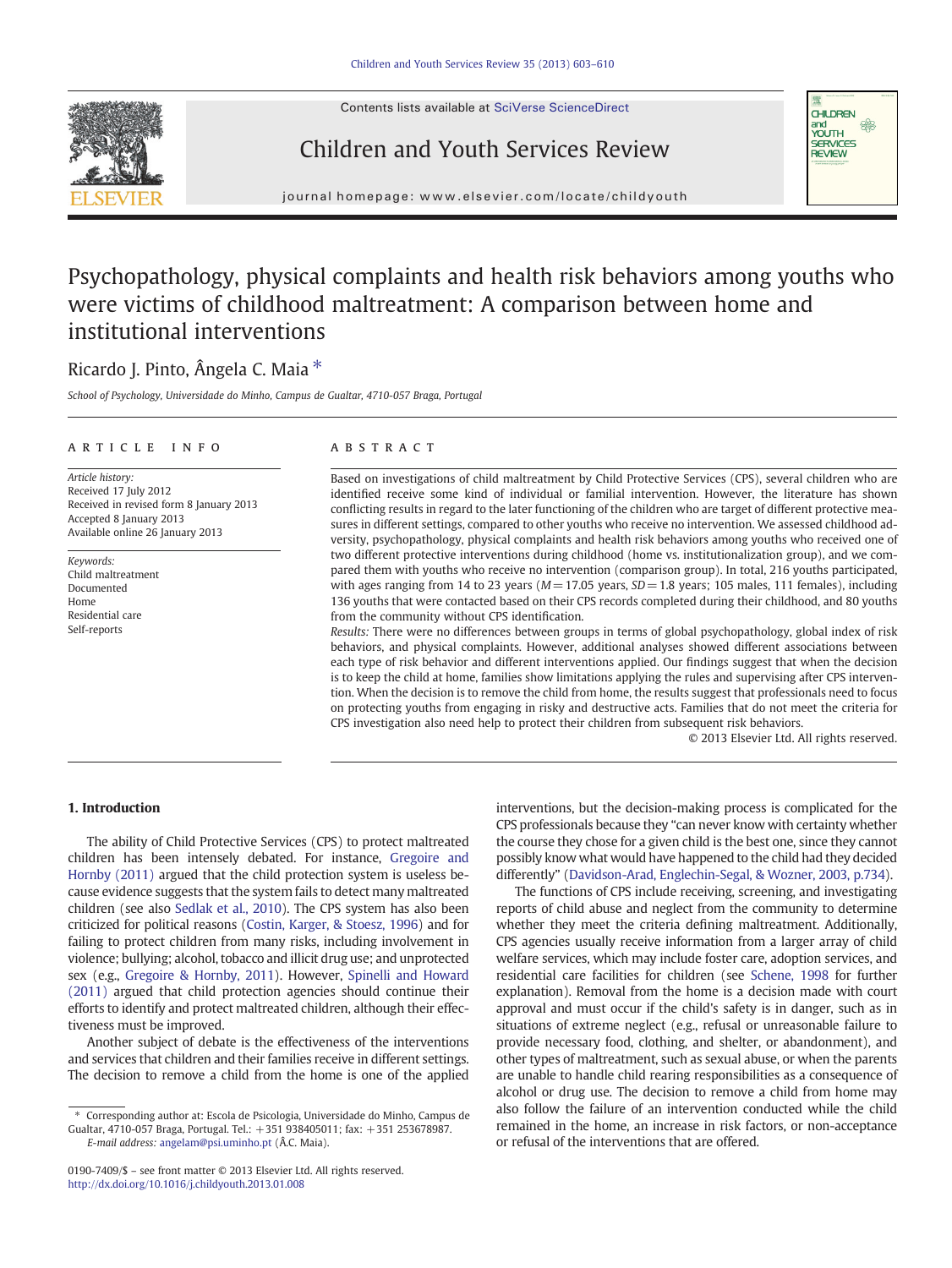Contents lists available at [SciVerse ScienceDirect](http://www.sciencedirect.com/science/journal/01907409)







journal homepage: www.elsevier.com/locate/childyouth

## Psychopathology, physical complaints and health risk behaviors among youths who were victims of childhood maltreatment: A comparison between home and institutional interventions

## Ricardo J. Pinto, Ângela C. Maia  $*$

School of Psychology, Universidade do Minho, Campus de Gualtar, 4710-057 Braga, Portugal

### article info abstract

Article history: Received 17 July 2012 Received in revised form 8 January 2013 Accepted 8 January 2013 Available online 26 January 2013

Keywords: Child maltreatment Documented Home Residential care Self-reports

Based on investigations of child maltreatment by Child Protective Services (CPS), several children who are identified receive some kind of individual or familial intervention. However, the literature has shown conflicting results in regard to the later functioning of the children who are target of different protective measures in different settings, compared to other youths who receive no intervention. We assessed childhood adversity, psychopathology, physical complaints and health risk behaviors among youths who received one of two different protective interventions during childhood (home vs. institutionalization group), and we compared them with youths who receive no intervention (comparison group). In total, 216 youths participated, with ages ranging from 14 to 23 years ( $M= 17.05$  years,  $SD= 1.8$  years; 105 males, 111 females), including 136 youths that were contacted based on their CPS records completed during their childhood, and 80 youths from the community without CPS identification.

Results: There were no differences between groups in terms of global psychopathology, global index of risk behaviors, and physical complaints. However, additional analyses showed different associations between each type of risk behavior and different interventions applied. Our findings suggest that when the decision is to keep the child at home, families show limitations applying the rules and supervising after CPS intervention. When the decision is to remove the child from home, the results suggest that professionals need to focus on protecting youths from engaging in risky and destructive acts. Families that do not meet the criteria for CPS investigation also need help to protect their children from subsequent risk behaviors.

© 2013 Elsevier Ltd. All rights reserved.

### 1. Introduction

The ability of Child Protective Services (CPS) to protect maltreated children has been intensely debated. For instance, [Gregoire and](#page--1-0) [Hornby \(2011\)](#page--1-0) argued that the child protection system is useless because evidence suggests that the system fails to detect many maltreated children (see also [Sedlak et al., 2010](#page--1-0)). The CPS system has also been criticized for political reasons [\(Costin, Karger, & Stoesz, 1996](#page--1-0)) and for failing to protect children from many risks, including involvement in violence; bullying; alcohol, tobacco and illicit drug use; and unprotected sex (e.g., [Gregoire & Hornby, 2011\)](#page--1-0). However, [Spinelli and Howard](#page--1-0) [\(2011\)](#page--1-0) argued that child protection agencies should continue their efforts to identify and protect maltreated children, although their effectiveness must be improved.

Another subject of debate is the effectiveness of the interventions and services that children and their families receive in different settings. The decision to remove a child from the home is one of the applied

interventions, but the decision-making process is complicated for the CPS professionals because they "can never know with certainty whether the course they chose for a given child is the best one, since they cannot possibly know what would have happened to the child had they decided differently" [\(Davidson-Arad, Englechin-Segal, & Wozner, 2003, p.734\)](#page--1-0).

The functions of CPS include receiving, screening, and investigating reports of child abuse and neglect from the community to determine whether they meet the criteria defining maltreatment. Additionally, CPS agencies usually receive information from a larger array of child welfare services, which may include foster care, adoption services, and residential care facilities for children (see [Schene, 1998](#page--1-0) for further explanation). Removal from the home is a decision made with court approval and must occur if the child's safety is in danger, such as in situations of extreme neglect (e.g., refusal or unreasonable failure to provide necessary food, clothing, and shelter, or abandonment), and other types of maltreatment, such as sexual abuse, or when the parents are unable to handle child rearing responsibilities as a consequence of alcohol or drug use. The decision to remove a child from home may also follow the failure of an intervention conducted while the child remained in the home, an increase in risk factors, or non-acceptance or refusal of the interventions that are offered.

<sup>⁎</sup> Corresponding author at: Escola de Psicologia, Universidade do Minho, Campus de Gualtar, 4710-057 Braga, Portugal. Tel.: +351 938405011; fax: +351 253678987. E-mail address: [angelam@psi.uminho.pt](mailto:angelam@psi.uminho.pt) (Â.C. Maia).

<sup>0190-7409/\$</sup> – see front matter © 2013 Elsevier Ltd. All rights reserved. <http://dx.doi.org/10.1016/j.childyouth.2013.01.008>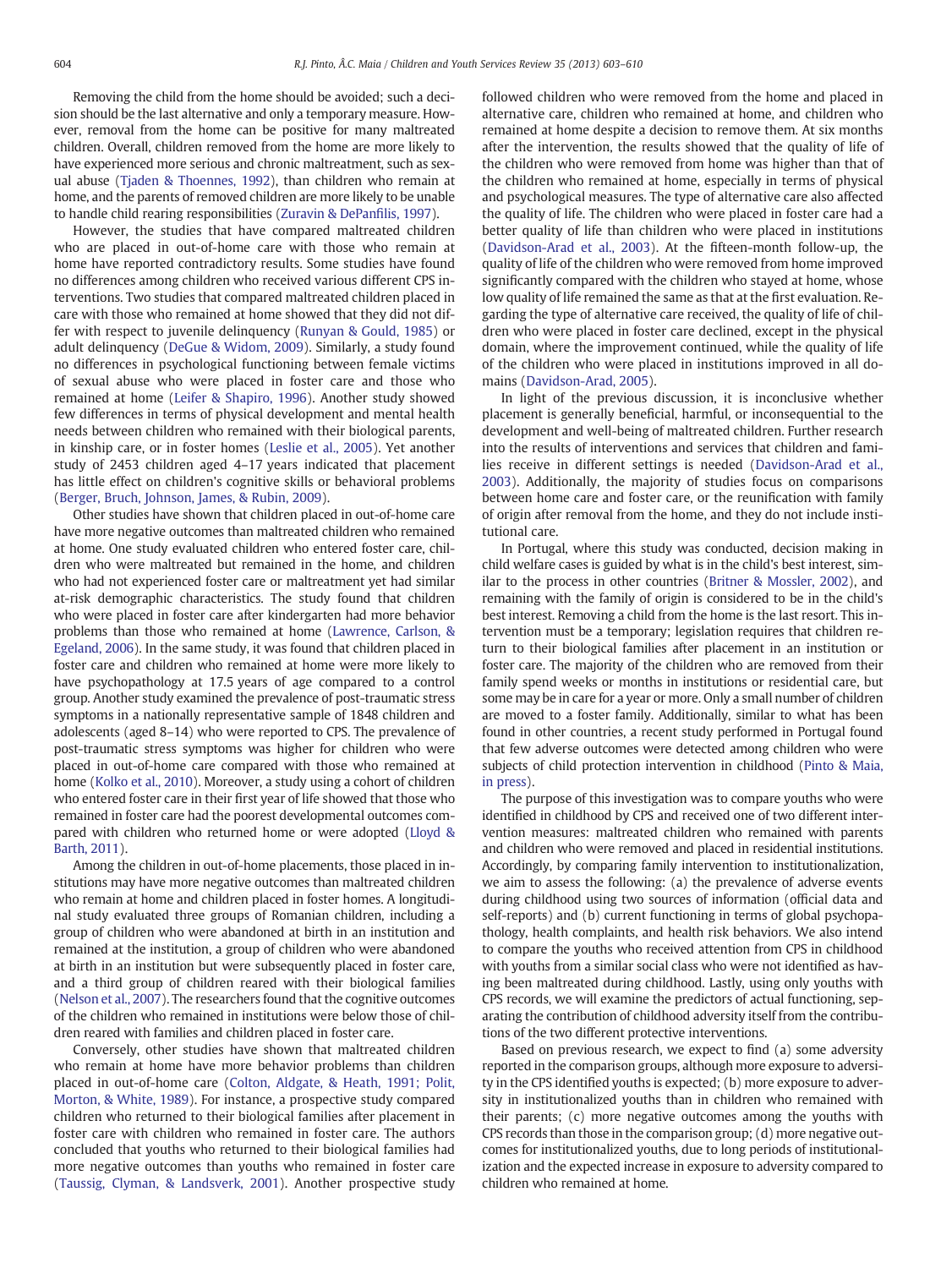Removing the child from the home should be avoided; such a decision should be the last alternative and only a temporary measure. However, removal from the home can be positive for many maltreated children. Overall, children removed from the home are more likely to have experienced more serious and chronic maltreatment, such as sexual abuse [\(Tjaden & Thoennes, 1992\)](#page--1-0), than children who remain at home, and the parents of removed children are more likely to be unable to handle child rearing responsibilities ([Zuravin & DePan](#page--1-0)filis, 1997).

However, the studies that have compared maltreated children who are placed in out-of-home care with those who remain at home have reported contradictory results. Some studies have found no differences among children who received various different CPS interventions. Two studies that compared maltreated children placed in care with those who remained at home showed that they did not differ with respect to juvenile delinquency ([Runyan & Gould, 1985\)](#page--1-0) or adult delinquency ([DeGue & Widom, 2009\)](#page--1-0). Similarly, a study found no differences in psychological functioning between female victims of sexual abuse who were placed in foster care and those who remained at home [\(Leifer & Shapiro, 1996\)](#page--1-0). Another study showed few differences in terms of physical development and mental health needs between children who remained with their biological parents, in kinship care, or in foster homes ([Leslie et al., 2005](#page--1-0)). Yet another study of 2453 children aged 4–17 years indicated that placement has little effect on children's cognitive skills or behavioral problems [\(Berger, Bruch, Johnson, James, & Rubin, 2009](#page--1-0)).

Other studies have shown that children placed in out-of-home care have more negative outcomes than maltreated children who remained at home. One study evaluated children who entered foster care, children who were maltreated but remained in the home, and children who had not experienced foster care or maltreatment yet had similar at-risk demographic characteristics. The study found that children who were placed in foster care after kindergarten had more behavior problems than those who remained at home [\(Lawrence, Carlson, &](#page--1-0) [Egeland, 2006\)](#page--1-0). In the same study, it was found that children placed in foster care and children who remained at home were more likely to have psychopathology at 17.5 years of age compared to a control group. Another study examined the prevalence of post-traumatic stress symptoms in a nationally representative sample of 1848 children and adolescents (aged 8–14) who were reported to CPS. The prevalence of post-traumatic stress symptoms was higher for children who were placed in out-of-home care compared with those who remained at home ([Kolko et al., 2010\)](#page--1-0). Moreover, a study using a cohort of children who entered foster care in their first year of life showed that those who remained in foster care had the poorest developmental outcomes compared with children who returned home or were adopted ([Lloyd &](#page--1-0) [Barth, 2011\)](#page--1-0).

Among the children in out-of-home placements, those placed in institutions may have more negative outcomes than maltreated children who remain at home and children placed in foster homes. A longitudinal study evaluated three groups of Romanian children, including a group of children who were abandoned at birth in an institution and remained at the institution, a group of children who were abandoned at birth in an institution but were subsequently placed in foster care, and a third group of children reared with their biological families [\(Nelson et al., 2007\)](#page--1-0). The researchers found that the cognitive outcomes of the children who remained in institutions were below those of children reared with families and children placed in foster care.

Conversely, other studies have shown that maltreated children who remain at home have more behavior problems than children placed in out-of-home care ([Colton, Aldgate, & Heath, 1991; Polit,](#page--1-0) [Morton, & White, 1989](#page--1-0)). For instance, a prospective study compared children who returned to their biological families after placement in foster care with children who remained in foster care. The authors concluded that youths who returned to their biological families had more negative outcomes than youths who remained in foster care [\(Taussig, Clyman, & Landsverk, 2001\)](#page--1-0). Another prospective study followed children who were removed from the home and placed in alternative care, children who remained at home, and children who remained at home despite a decision to remove them. At six months after the intervention, the results showed that the quality of life of the children who were removed from home was higher than that of the children who remained at home, especially in terms of physical and psychological measures. The type of alternative care also affected the quality of life. The children who were placed in foster care had a better quality of life than children who were placed in institutions [\(Davidson-Arad et al., 2003\)](#page--1-0). At the fifteen-month follow-up, the quality of life of the children who were removed from home improved significantly compared with the children who stayed at home, whose low quality of life remained the same as that at the first evaluation. Regarding the type of alternative care received, the quality of life of children who were placed in foster care declined, except in the physical domain, where the improvement continued, while the quality of life of the children who were placed in institutions improved in all domains [\(Davidson-Arad, 2005\)](#page--1-0).

In light of the previous discussion, it is inconclusive whether placement is generally beneficial, harmful, or inconsequential to the development and well-being of maltreated children. Further research into the results of interventions and services that children and families receive in different settings is needed ([Davidson-Arad et al.,](#page--1-0) [2003\)](#page--1-0). Additionally, the majority of studies focus on comparisons between home care and foster care, or the reunification with family of origin after removal from the home, and they do not include institutional care.

In Portugal, where this study was conducted, decision making in child welfare cases is guided by what is in the child's best interest, similar to the process in other countries ([Britner & Mossler, 2002\)](#page--1-0), and remaining with the family of origin is considered to be in the child's best interest. Removing a child from the home is the last resort. This intervention must be a temporary; legislation requires that children return to their biological families after placement in an institution or foster care. The majority of the children who are removed from their family spend weeks or months in institutions or residential care, but some may be in care for a year or more. Only a small number of children are moved to a foster family. Additionally, similar to what has been found in other countries, a recent study performed in Portugal found that few adverse outcomes were detected among children who were subjects of child protection intervention in childhood [\(Pinto & Maia,](#page--1-0) [in press](#page--1-0)).

The purpose of this investigation was to compare youths who were identified in childhood by CPS and received one of two different intervention measures: maltreated children who remained with parents and children who were removed and placed in residential institutions. Accordingly, by comparing family intervention to institutionalization, we aim to assess the following: (a) the prevalence of adverse events during childhood using two sources of information (official data and self-reports) and (b) current functioning in terms of global psychopathology, health complaints, and health risk behaviors. We also intend to compare the youths who received attention from CPS in childhood with youths from a similar social class who were not identified as having been maltreated during childhood. Lastly, using only youths with CPS records, we will examine the predictors of actual functioning, separating the contribution of childhood adversity itself from the contributions of the two different protective interventions.

Based on previous research, we expect to find (a) some adversity reported in the comparison groups, although more exposure to adversity in the CPS identified youths is expected; (b) more exposure to adversity in institutionalized youths than in children who remained with their parents; (c) more negative outcomes among the youths with CPS records than those in the comparison group; (d) more negative outcomes for institutionalized youths, due to long periods of institutionalization and the expected increase in exposure to adversity compared to children who remained at home.